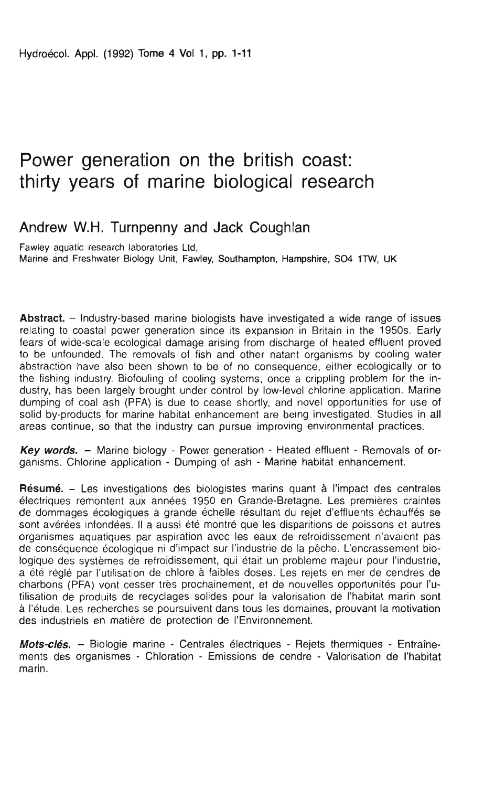# Power generation on the british coast:<br>thirty years of marine biological research

# Andrew W.H. Turnpenny and Jack Coughlan

Fawley aquatic research laboratories Ltd, Marine and Freshwater Biology Unit, Fawley, Southampton, Hampshire, SO4 1TW, UK

Abstract. - Industry-based marine biologists have investigated a wide range of issues relating to coastal power generation since its expansion in Britain in the 1950s. Early fears of wide-scale ecological damage arising from discharge of heated effluent proved to be unfounded. The removals of fish and other natant organisms by cooling water abstraction have also been shown to be of no consequence, either ecologically or to the fishing industry. Biofouling of cooling systems, once a crippling problem for the industry, has been largely brought under control by low-level chlorine application. Marine dumping of coal ash (PFA) is due to cease shortly, and novel opportunities for use of solid by-products for marine habitat enhancement are being investigated. Studies in all areas continue, so that the industry can pursue improving environmental practices.

Key words. - Marine biology - Power generation - Heated effluent - Removals of organisms. Chlorine application - Dumping of ash - Marine habitat enhancement.

Résumé. - Les investigations des biologistes marins quant à l'impact des centrales électriques remontent aux années 1950 en Grande-Bretagne. Les premières craintes de dommages écologiques à grande échelle résultant du rejet d'effluents échauffés se sont avérées infondées. Il a aussi été montré que les disparitions de poissons et autres organismes aquatiques par aspiration avec les eaux de refroidissement n'avaient pas de conséquence écologique ni d'impact sur l'industrie de la pêche. L'encrassement biologique des systèmes de refroidissement, qui était un problème majeur pour l'industrie, a été réglé par l'utilisation de chlore à faibles doses. Les rejets en mer de cendres de charbons (PFA) vont cesser très prochainement, et de nouvelles opportunités pour l'utilisation de produits de recyclages solides pour la valorisation de l'habitat marin sont à l'étude. Les recherches se poursuivent dans tous les domaines, prouvant la motivation des industriels en matière de protection de l'Environnement.

Mots-clés. - Biologie marine - Centrales électriques - Rejets thermiques - Entraînements des organismes - Chloration - Emissions de cendre - Valorisation de l'habitat marin.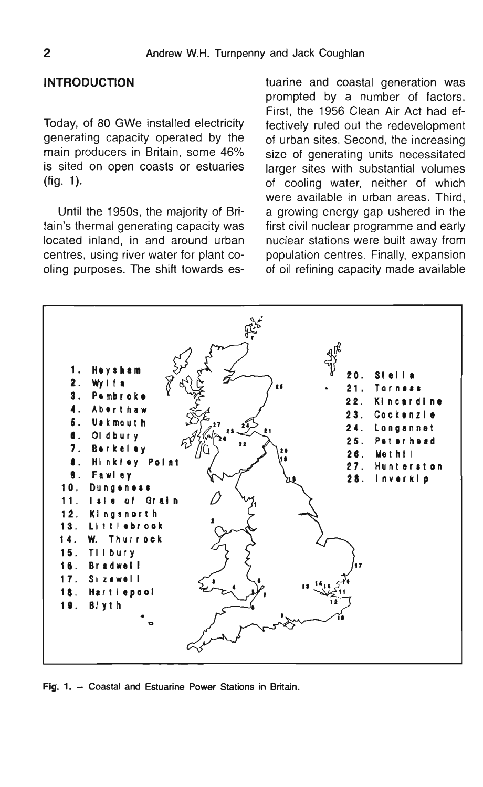#### **INTRODUCTION**

Today, of 80 GWe installed electricity generating capacity operated by the main producers in Britain, some 46% is sited on open coasts or estuaries  $(fiq. 1)$ .

Until the 1950s, the majority of Britain's thermal generating capacity was located inland, in and around urban centres, using river water for plant cooling purposes. The shift towards estuarine and coastal generation was prompted by a number of factors. First, the 1956 Clean Air Act had effectively ruled out the redevelopment of urban sites. Second, the increasing size of generating units necessitated larger sites with substantial volumes of cooling water, neither of which were available in urban areas. Third, a growing energy gap ushered in the first civil nuclear programme and early nuclear stations were built away from population centres. Finally, expansion of oil refining capacity made available



Fig. 1. - Coastal and Estuarine Power Stations in Britain.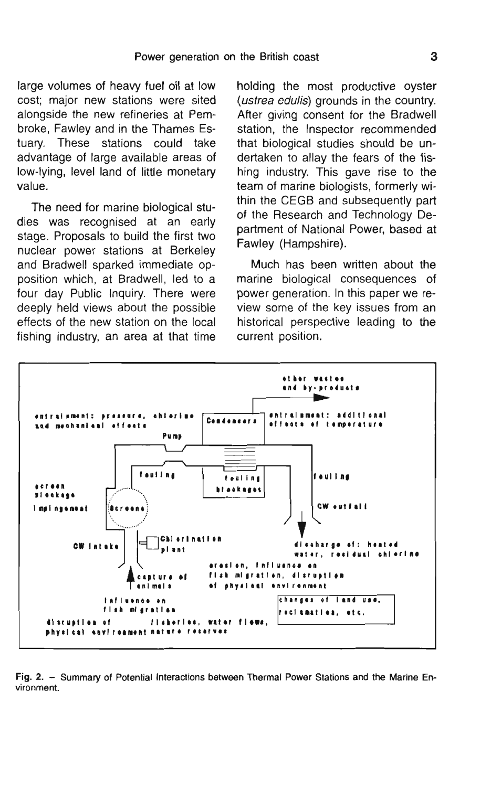large volumes of heavy fuel oil at low cost; major new stations were sited alongside the new refineries at Pembroke, Fawley and in the Thames Estuary. These stations could take advantage of large available areas of low-lying, level land of little monetary

The need for marine biological studies was recognised at an early stage. Proposals to build the first two nuclear power stations at Berkeley and Bradwell sparked immediate opposition which, at Bradwell, led to a four day Public Inquiry. There were deeply held views about the possible effects of the new station on the local fishing industry, an area at that time holding the most productive oyster (ustrea edulis) grounds in the country. After giving consent for the Bradwell station, the Inspector recommended that biological studies should be undertaken to allay the fears of the fishing industry. This gave rise to the team of marine biologists, formerly within the CEGB and subsequently part of the Research and Technology Department of National Power, based at Fawley (Hampshire).

Much has been written about the marine biological consequences of power generation. In this paper we review some of the key issues from an historical perspective leading to the current position.



Fig. 2. - Summary of Potential Interactions between Thermal Power Stations and the Marine Environment.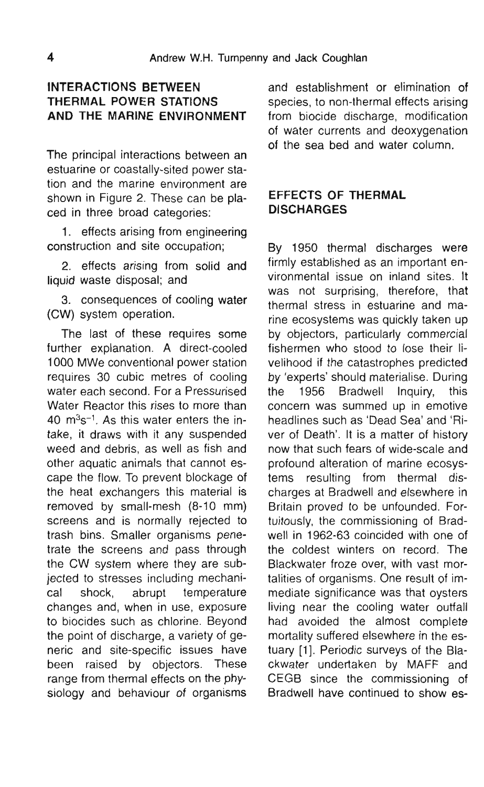### **INTERACTIONS BETWEEN THERMAL POWER STATIONS** AND THE MARINE ENVIRONMENT

 $\mathcal{T}_{\mathcal{D}}$  interactions between and  $\mathcal{T}_{\mathcal{D}}$ 

The principal interactions between an estuarine or coastally-sited power station and the marine environment are shown in Figure 2. These can be placed in three broad categories: **DISCHARGES** 

1. effects arising from engineering construction and site occupation:

2. effects arising from solid and liquid waste disposal; and

3. consequences of cooling water (CW) system operation.

The last of these requires some further explanation. A direct-cooled 1000 MWe conventional power station requires 30 cubic metres of cooling water each second. For a Pressurised the Water Reactor this rises to more than 40  $m<sup>3</sup>s<sup>-1</sup>$ . As this water enters the intake, it draws with it any suspended weed and debris, as well as fish and other aquatic animals that cannot escape the flow. To prevent blockage of the heat exchangers this material is removed by small-mesh  $(8-10$  mm) screens and is normally rejected to trash bins. Smaller organisms penetrate the screens and pass through the CW system where they are subjected to stresses including mechanical shock, abrupt temperature changes and, when in use, exposure to biocides such as chlorine. Beyond the point of discharge, a variety of generic and site-specific issues have been raised by objectors. These range from thermal effects on the physiology and behaviour of organisms

and establishment or elimination of species, to non-thermal effects arising from biocide discharge, modification of water currents and deoxygenation

# **EFFECTS OF THERMAL**

By 1950 thermal discharges were firmly established as an important environmental issue on inland sites, It was not surprising, therefore, that thermal stress in estuarine and marine ecosystems was quickly taken up by objectors, particularly commercial fishermen who stood to lose their livelihood if the catastrophes predicted by 'experts' should materialise. During 1956 Bradwell Inquiry, this concern was summed up in emotive headlines such as 'Dead Sea' and 'River of Death'. It is a matter of history now that such fears of wide-scale and profound alteration of marine ecosystems resulting from thermal discharges at Bradwell and elsewhere in Britain proved to be unfounded. Fortuitously, the commissioning of Bradwell in 1962-63 coincided with one of the coldest winters on record. The Blackwater froze over, with vast mortalities of organisms. One result of immediate significance was that ovsters living near the cooling water outfall had avoided the almost complete mortality suffered elsewhere in the estuary [1]. Periodic surveys of the Blackwater undertaken by MAFF and CEGB since the commissioning of Bradwell have continued to show es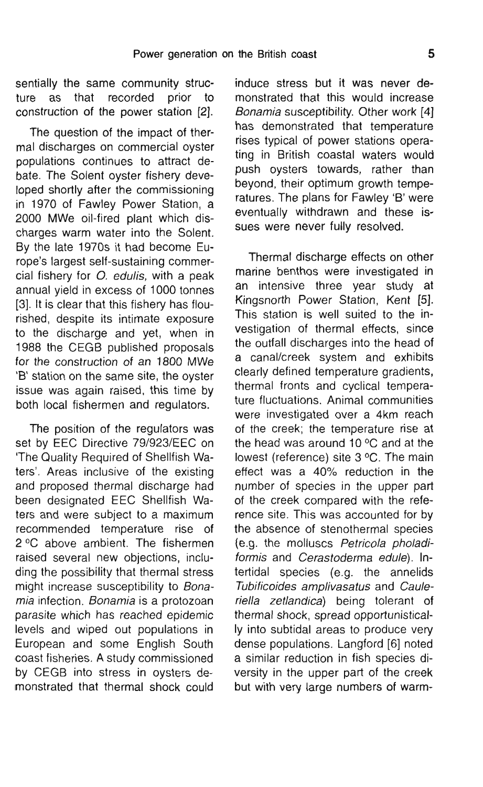sentially the same community structure as that recorded prior to construction of the power station [2].

The question of the impact of thermal discharges on commercial ovster populations continues to attract debate. The Solent oyster fishery developed shortly after the commissioning in 1970 of Fawley Power Station, a 2000 MWe oil-fired plant which dis-<br>sues were never fully resolved. charges warm water into the Solent. By the late 1970s it had become Europe's largest self-sustaining commercial fishery for *O. edulis*, with a peak annual vield in excess of 1000 tonnes [3]. It is clear that this fishery has flourished, despite its intimate exposure to the discharge and vet, when in 1988 the CEGB published proposals for the construction of an 1800 MWe 'B' station on the same site, the oyster issue was again raised, this time by both local fishermen and regulators.

The position of the regulators was set by EEC Directive 79/923/EEC on 'The Quality Required of Shellfish Waters'. Areas inclusive of the existing and proposed thermal discharge had been designated EEC Shellfish Waters and were subject to a maximum recommended temperature rise of 2 °C above ambient. The fishermen raised several new objections, including the possibility that thermal stress might increase susceptibility to Bonamia infection. Bonamia is a protozoan parasite which has reached epidemic levels and wiped out populations in European and some English South coast fisheries. A study commissioned by CEGB into stress in ovsters demonstrated that thermal shock could

induce stress but it was never demonstrated that this would increase Bonamia susceptibility. Other work [4] has demonstrated that temperature rises typical of power stations operating in British coastal waters would push oysters towards, rather than bevond, their optimum arowth temperatures. The plans for Fawley 'B' were eventually withdrawn and these is-

Thermal discharge effects on other marine benthos were investigated in an intensive three vear study at Kingsnorth Power Station, Kent [5]. This station is well suited to the investigation of thermal effects, since the outfall discharges into the head of a canal/creek system and exhibits clearly defined temperature gradients, thermal fronts and cyclical temperature fluctuations. Animal communities were investigated over a 4km reach of the creek: the temperature rise at the head was around 10  $\degree$ C and at the lowest (reference) site 3 °C. The main effect was a  $40\%$  reduction in the number of species in the upper part of the creek compared with the reference site. This was accounted for by the absence of stenothermal species (e.g. the molluscs Petricola pholadiformis and Cerastoderma edule). Intertidal species (e.g. the annelids Tubificoides amplivasatus and Cauleriella zetlandica) being tolerant of thermal shock, spread opportunistically into subtidal areas to produce very dense populations. Langford [6] noted a similar reduction in fish species diversity in the upper part of the creek but with very large numbers of warm-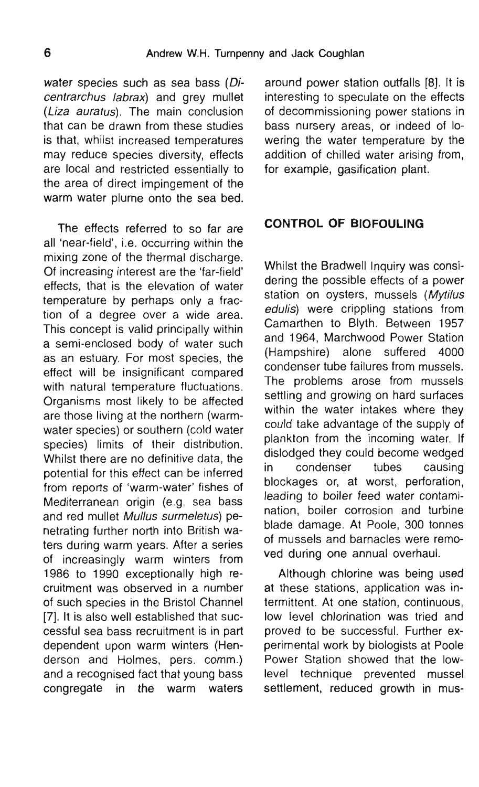water species such as sea bass  $(Di-$  around power station outfalls [8]. It is *centrarchus labrax*) and grey mullet interesting to speculate on the effects (Liza auratus). The main conclusion of decommissioning power stations in that can be drawn from these studies bass nursery areas, or indeed of lois that, whilst increased temperatures wering the water temperature by the may reduce species diversity, effects addition of chilled water arising from. are local and restricted essentially to for example, gasification plant. the area of direct impingement of the The effect of the solid block.

all 'near-field', i.e. occurring within the mixing zone of the thermal discharge. Of increasing interest are the 'far-field' effects, that is the elevation of water temperature by perhaps only a fraction of a degree over a wide area. This concept is valid principally within a semi-enclosed body of water such as an estuary. For most species, the effect will be insignificant compared with natural temperature fluctuations. Organisms most likely to be affected are those living at the northern (warmwater species) or southern (cold water species) limits of their distribution. Whilst there are no definitive data, the  $\frac{dR}{dr}$ potential for this effect can be inferred from reports of 'warm-water' fishes of Mediterranean origin (e.g. sea bass and red mullet Mullus surmeletus) penetrating further north into British waters during warm years. After a series of increasingly warm winters from 1986 to 1990 exceptionally high recruitment was observed in a number of such species in the Bristol Channel [7]. It is also well established that successful sea bass recruitment is in part dependent upon warm winters (Henderson and Holmes, pers. comm.) and a recognised fact that young bass congregate in the warm waters

# The effects referred to so far are **CONTROL OF BIOFOULING**

Whilst the Bradwell Inquiry was considering the possible effects of a power station on oysters, mussels (Mytilus edulis) were crippling stations from Camarthen to Blyth, Between 1957 and 1964, Marchwood Power Station (Hampshire) alone suffered 4000 condenser tube failures from mussels. The problems arose from mussels settling and growing on hard surfaces within the water intakes where they could take advantage of the supply of plankton from the incoming water. If dislodged they could become wedged condenser tubes causing blockages or, at worst, perforation, leading to boiler feed water contamination, boiler corrosion and turbine blade damage. At Poole, 300 tonnes of mussels and barnacles were removed during one annual overhaul.

Although chlorine was being used at these stations, application was intermittent. At one station, continuous, low level chlorination was tried and proved to be successful. Further experimental work by biologists at Poole Power Station showed that the lowlevel technique prevented mussel settlement, reduced growth in mus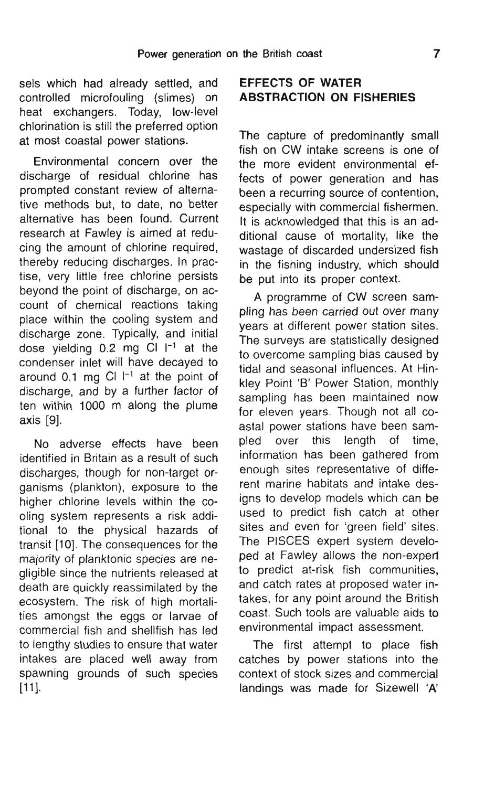sels which had already settled, and controlled microfouling (slimes) on **ABSTRACTION ON FISHERIES** heat exchangers. Today, low-level chlorination is still the preferred option. at most coastal power stations.

sels which had already settled, and

Environmental concern over the discharge of residual chlorine has prompted constant review of alternative methods but, to date, no better alternative has been found. Current research at Fawley is aimed at reducing the amount of chlorine required, thereby reducing discharges. In practise, very little free chlorine persists beyond the point of discharge, on account of chemical reactions taking place within the cooling system and discharge zone. Typically, and initial dose vielding  $0.2$  mg Cl  $\vert$ <sup>-1</sup> at the condenser inlet will have decaved to around 0.1 mg CI  $I^{-1}$  at the point of discharge, and by a further factor of ten within 1000 m along the plume  $\mathcal{A}$ .

No adverse effects have been identified in Britain as a result of such discharges, though for non-target organisms (plankton), exposure to the higher chlorine levels within the cooling system represents a risk additional to the physical hazards of transit [10]. The consequences for the majority of planktonic species are negligible since the nutrients released at death are quickly reassimilated by the ecosystem. The risk of high mortalities amongst the eggs or larvae of commercial fish and shellfish has led to lengthy studies to ensure that water intakes are placed well away from spawning grounds of such species  $[11]$ .

# **EFFECTS OF WATER**

The capture of predominantly small  $fish on CW$  intake screens is one of the more evident environmental effects of power generation and has been a recurring source of contention. especially with commercial fishermen. It is acknowledged that this is an additional cause of mortality. like the wastage of discarded undersized fish in the fishing industry, which should be put into its proper context.

A programme of CW screen sampling has been carried out over many vears at different power station sites. The surveys are statistically designed to overcome sampling bias caused by tidal and seasonal influences. At Hinkley Point 'B' Power Station, monthly sampling has been maintained now for eleven years. Though not all coastal power stations have been sampled over this length of time, information has been gathered from enough sites representative of different marine habitats and intake designs to develop models which can be used to predict fish catch at other sites and even for 'green field' sites. The PISCES expert system developed at Fawley allows the non-expert to predict at-risk fish communities, and catch rates at proposed water intakes, for any point around the British coast. Such tools are valuable aids to environmental impact assessment.

The first attempt to place fish catches by power stations into the context of stock sizes and commercial landings was made for Sizewell 'A'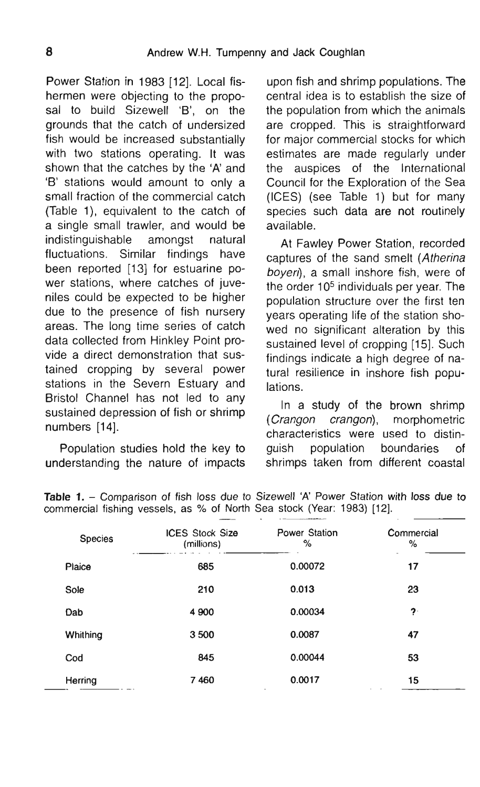Power Station in 1983 [12]. Local fishermen were objecting to the proposal to build Sizewell 'B', on the grounds that the catch of undersized fish would be increased substantially with two stations operating. It was shown that the catches by the 'A' and the 'B' stations would amount to only a small fraction of the commercial catch (Table 1), equivalent to the catch of a single small trawler, and would be available. indistinguishable amongst natural fluctuations. Similar findings have been reported [13] for estuarine power stations, where catches of juveniles could be expected to be higher due to the presence of fish nursery areas. The long time series of catch data collected from Hinkley Point provide a direct demonstration that sustained cropping by several power stations in the Severn Estuary and lations. Bristol Channel has not led to any sustained depression of fish or shrimp

Table **1.** - Comparison of fish loss due to Sizewell 'A' Power Station with loss due to

upon fish and shrimp populations. The central idea is to establish the size of the population from which the animals are cropped. This is straightforward for major commercial stocks for which estimates are made regularly under auspices of the International Council for the Exploration of the Sea (ICES) (see Table 1) but for many species such data are not routinely  $\mathsf{b}\mathsf{I}\mathsf{e}.$ 

At Fawley Power Station, recorded captures of the sand smelt (Atherina boyeri), a small inshore fish, were of the order  $10<sup>5</sup>$  individuals per vear. The population structure over the first ten vears operating life of the station showed no significant alteration by this sustained level of cropping [15]. Such findings indicate a high degree of natural resilience in inshore fish popu- $\mathbf{S}$ .

In a study of the brown shrimp (Crangon crangon), morphometric numbers [14]. The changer of the changer of the studies holding population boundaries of the boundaries of the boundaries of the boundaries of the boundaries of the boundaries of the boundaries of the boundaries of the bou Population studies hold the key to guish population boundaries of

| <b>Species</b> | <b>ICES Stock Size</b><br>(millions) | ٠<br><b>STATISTICS</b><br>Power Station<br>% | Commercial<br>$\%$ |
|----------------|--------------------------------------|----------------------------------------------|--------------------|
| Plaice         | 685                                  | 0.00072                                      | 17                 |
| Sole           | 210                                  | 0.013                                        | 23                 |
| Dab            | 4 9 0 0                              | 0.00034                                      | ?                  |
| Whithing       | 3500                                 | 0.0087                                       | 47                 |
| Cod            | 845                                  | 0.00044                                      | 53                 |
| Herring        | 7460                                 | 0.0017<br>٠                                  | 15<br>$\sim$       |

understanding the nature of impacts shrimps taken from different coastal<br>Table 1. - Comparison of fish loss due to Sizewell 'A' Power Station with loss due to commercial fishing vessels, as % of North Sea stock (Year: 1983) [12].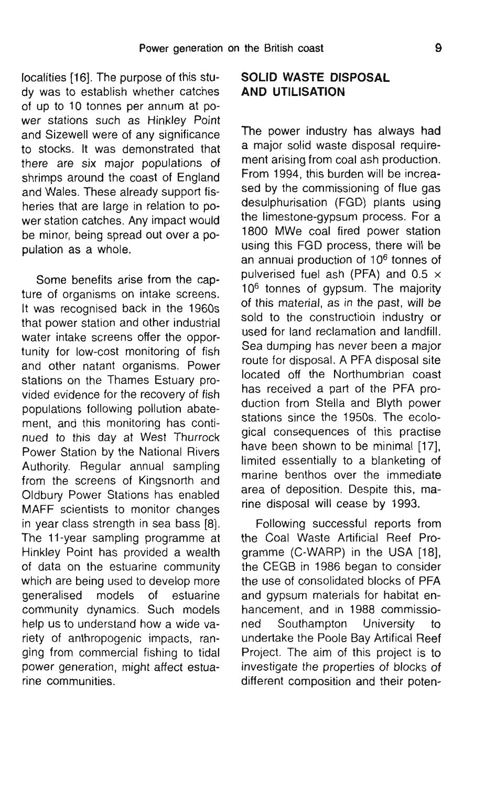localities [16]. The purpose of this study was to establish whether catches of up to 10 tonnes per annum at power stations such as Hinkley Point and Sizewell were of any significance to stocks. It was demonstrated that there are six major populations of shrimps around the coast of England and Wales. These already support fisheries that are large in relation to power station catches. Any impact would be minor, being spread out over a population as a whole.

Some benefits arise from the capture of organisms on intake screens. It was recognised back in the 1960s that power station and other industrial water intake screens offer the opportunity for low-cost monitoring of fish and other natant organisms. Power stations on the Thames Estuary provided evidence for the recovery of fish populations following pollution abatement. and this monitoring has continued to this day at West Thurrock Power Station by the National Rivers Authority. Regular annual sampling from the screens of Kingsnorth and Oldbury Power Stations has enabled MAFF scientists to monitor changes in year class strength in sea bass  $[8]$ . The 11-year sampling programme at Hinkley Point has provided a wealth of data on the estuarine community which are being used to develop more qeneralised models of estuarine community dynamics. Such models help us to understand how a wide variety of anthropogenic impacts, ranging from commercial fishing to tidal power generation, might affect estuarine communities.

## **SOLID WASTE DISPOSAL AND UTILISATION**

The power industry has always had a major solid waste disposal requirement arising from coal ash production. From 1994, this burden will be increased by the commissioning of flue gas desulphurisation (FGD) plants using the limestone-gypsum process. For a 1800 MWe coal fired power station using this FGD process, there will be an annual production of  $10<sup>6</sup>$  tonnes of pulverised fuel ash (PFA) and 0.5  $\times$  $10<sup>6</sup>$  tonnes of gypsum. The majority of this material, as in the past, will be sold to the constructioin industry or used for land reclamation and landfill. Sea dumping has never been a major route for disposal. A PFA disposal site located off the Northumbrian coast has received a part of the PFA production from Stella and Blyth power stations since the 1950s. The ecological consequences of this practise have been shown to be minimal [17]. limited essentially to a blanketing of marine benthos over the immediate area of deposition. Despite this, marine disposal will cease by 1993.

Following successful reports from the Coal Waste Artificial Reef Programme (C-WARP) in the USA [18], the CEGB in 1986 began to consider the use of consolidated blocks of PFA and gypsum materials for habitat enhancement, and in 1988 commissioned Southampton University to undertake the Poole Bay Artifical Reef Project. The aim of this project is to investigate the properties of blocks of different composition and their poten-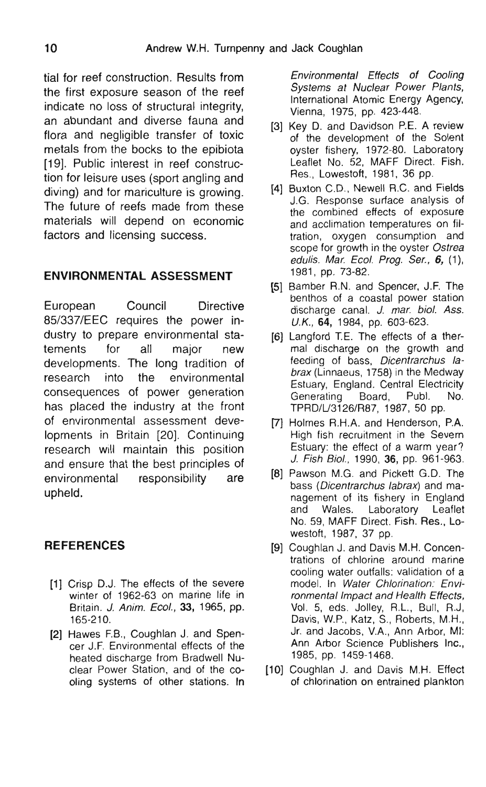tial for reef construction. Results from the first exposure season of the reef indicate no loss of structural integrity. an abundant and diverse fauna and flora and negligible transfer of toxic metals from the bocks to the epibiota [19]. Public interest in reef construction for leisure uses (sport angling and diving) and for mariculture is growing. The future of reefs made from these materials will depend on economic factors and licensing success.

#### **ENVIRONMENTAL ASSESSMENT**

European Council Directive 85/337/EEC requires the power industry to prepare environmental statements for all major new developments. The long tradition of research into the environmental consequences of power generation has placed the industry at the front of environmental assessment developments in Britain [20]. Continuing research will maintain this position and ensure that the best principles of environmental responsibility are upheld.

### **REFERENCES**

- $\sim$  D<sub>1</sub>. The effects of the severe p. D.J. The enects of the severe<br>Part of 1062.62, enterprise life in 161 O.I. 191<br>210 I. Az  $\frac{1}{2}$  Hammers F.B., Electric Countries F.B., Coughland J.B.
- 165-210.<br>**[2]** Hawes F.B., Coughlan J. and Spencer J.F. Environmental effects of the heated discharge from Bradwell Nuclear Power Station, and of the cooling systems of other stations. In

Environmental Effects of Cooling Systems at Nuclear Power Plants. International Atomic Energy Agency, Vienna, 1975, pp. 423-448.

- [3] Key D. and Davidson P.E. A review of the development of the Solent oyster fishery, 1972-80. Laboratory Leaflet No. 52, MAFF Direct. Fish. Res., Lowestoft, 1981, 36 pp.
- [4] Buxton C.D., Newell R.C. and Fields J.G. Response surface analysis of the combined effects of exposure and acclimation temperatures on filaccimitation temperatures on in-<br>ion, oxygen consumption and<br>ne for growth in the oyster Ostrea scope for growth in the oyster Ostrea<br>edulis. Mar. Ecol. Prog. Ser., 6, (1), **1981, pp. 73-82.**
- [5] Bamber R.N. and Spencer, J.F. The benthos of a coastal power station discharge canal. J. mar. biol. Ass.  $U.K., 64, 1984, pp. 603-623.$
- [6] Langford T.E. The effects of a thermal discharge on the growth and feeding of bass. Dicentrarchus labrax (Linnaeus, 1758) in the Medway Generation Board, Publ. 1997 In the Wedway uary, England, Central Electricity<br>Porting - Board - Publ - No **Generating Board, Publ. No.**<br>**TPRD/L/3126/R87, 1987, 50 pp.**
- [7] Holmes R.H.A. and Henderson, P.A. I. Fish recruitment in the Severn<br>Lang the effect of a warm year? Estuary: the effect of a warm year?<br>J. Fish Biol., 1990, 36, pp. 961-963.
- [8] Pawson M.G. and Pickett G.D. The  $n_{\text{coll}}$  iverse its final measurement of  $n_{\text{rel}}$ s *(Dicentratorius Iabrax*) and management of its fishery in England<br>and Wales. Laboratory Leaflet No. 59, MAFF Direct, Fish, Res., Lowestoft, 1987, 37 pp.
- [9] Coughlan J. and Davis M.H. Concentrations of chlorine around marine ons or critorine around manne ing water outlans. Vandanon of a Jel. In *Water Chlofination. Envi-*<br>meate*l Impect and Hoolth Effects* Davis, W.P., Katz, S., Roberts, M.H., Vol. 5, eds. Jolley, R.L., Bull, R.J., Davis, W.P., Katz, S., Roberts, M.H.,  $\overline{A}$ ,  $\overline{A}$ ,  $\overline{A}$ ,  $\overline{A}$ ,  $\overline{A}$ ,  $\overline{A}$ ,  $\overline{A}$ ,  $\overline{A}$ ,  $\overline{A}$ ,  $\overline{A}$ ,  $\overline{A}$ ,  $\overline{A}$ ,  $\overline{A}$ ,  $\overline{A}$ ,  $\overline{A}$ ,  $\overline{A}$ ,  $\overline{A}$ ,  $\overline{A}$ ,  $\overline{A}$ ,  $\overline{A}$ ,  $\overline{A}$ ,  $\overline{A}$ , and Jacobs, v.A., Anni<br>L.Arber Ceienes Public Ann Arbor Science Publishers Inc., 1985, pp. 1459-1468.
- [10] Coughlan J. and Davis M.H. Effect of chlorination on entrained plankton